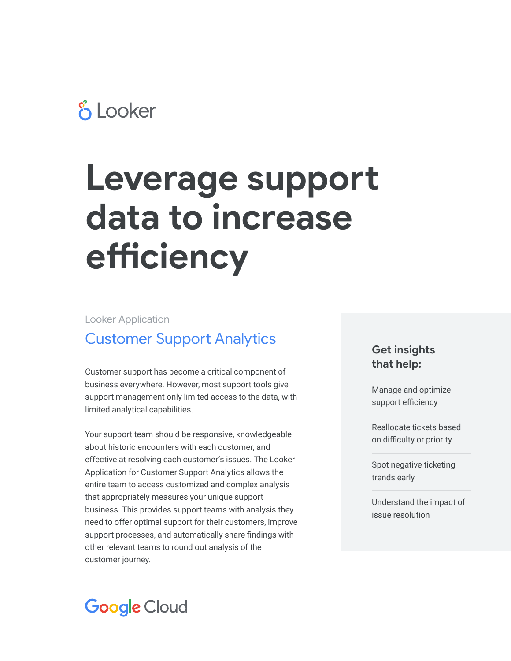## **& Looker**

# **Leverage support data to increase efficiency**

Looker Application

### Customer Support Analytics

Customer support has become a critical component of business everywhere. However, most support tools give support management only limited access to the data, with limited analytical capabilities.

Your support team should be responsive, knowledgeable about historic encounters with each customer, and effective at resolving each customer's issues. The Looker Application for Customer Support Analytics allows the entire team to access customized and complex analysis that appropriately measures your unique support business. This provides support teams with analysis they need to offer optimal support for their customers, improve support processes, and automatically share findings with other relevant teams to round out analysis of the customer journey.

#### **Get insights that help:**

Manage and optimize support efficiency

Reallocate tickets based on difficulty or priority

Spot negative ticketing trends early

Understand the impact of issue resolution

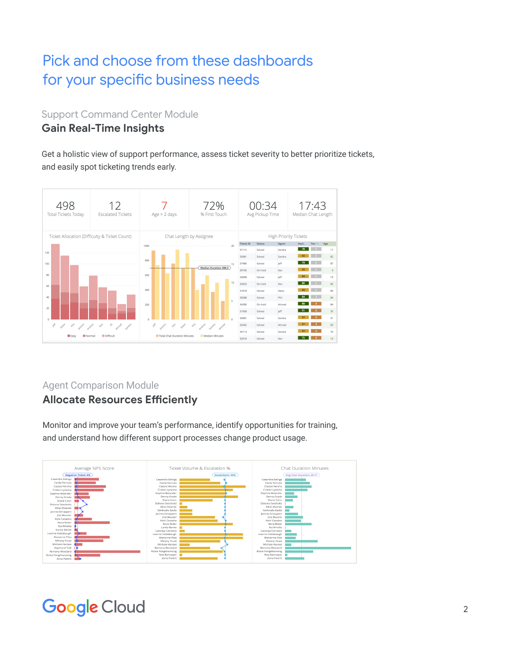## Pick and choose from these dashboards for your specific business needs

**Support Command Center Module** 

#### **Gain Real-Time Insights**

Get a holistic view of support performance, assess ticket severity to better prioritize tickets, **CONTROLLER THE COMPLETED FOR STATE** and easily spot ticketing trends early.



#### Agent Comparison Module **Allocate Resources Efficiently**

Monitor and improve your team's performance, identify opportunities for training,  $\alpha$ tueede, identifikk and understand how different support processes change product usage.



## **Google Cloud**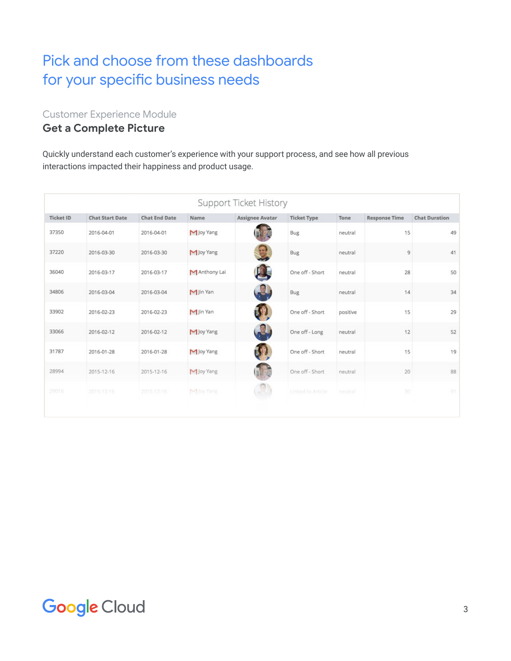#### Pick and choose from these dashboards for your specific business needs **Pick and choose from these dashboards for your specific business needs**

Customer Experience Module

#### **Get a Complete Picture**

Quickly understand each customer's experience with your support process, and see how all previous interactions impacted their happiness and product usage.

| Support Ticket History |                        |                      |              |                        |                    |          |                      |                      |
|------------------------|------------------------|----------------------|--------------|------------------------|--------------------|----------|----------------------|----------------------|
| <b>Ticket ID</b>       | <b>Chat Start Date</b> | <b>Chat End Date</b> | Name         | <b>Assignee Avatar</b> | <b>Ticket Type</b> | Tone     | <b>Response Time</b> | <b>Chat Duration</b> |
| 37350                  | 2016-04-01             | 2016-04-01           | M Joy Yang   |                        | <b>Bug</b>         | neutral  | 15                   | 49                   |
| 37220                  | 2016-03-30             | 2016-03-30           | M Joy Yang   | $\mathbb{R}$           | <b>Bug</b>         | neutral  | 9                    | 41                   |
| 36040                  | 2016-03-17             | 2016-03-17           | MAnthony Lai |                        | One off - Short    | neutral  | 28                   | 50                   |
| 34806                  | 2016-03-04             | 2016-03-04           | M Jin Yan    | R                      | <b>Bug</b>         | neutral  | 14                   | 34                   |
| 33902                  | 2016-02-23             | 2016-02-23           | M Jin Yan    |                        | One off - Short    | positive | 15                   | 29                   |
| 33066                  | 2016-02-12             | 2016-02-12           | M Joy Yang   | 2                      | One off - Long     | neutral  | 12                   | 52                   |
| 31787                  | 2016-01-28             | 2016-01-28           | M Joy Yang   |                        | One off - Short    | neutral  | 15                   | 19                   |
| 28994                  | 2015-12-16             | 2015-12-16           | M Joy Yang   |                        | One off - Short    | neutral  | 20                   | 88                   |
| 29016                  | 2015-12-16             | 2015-12-16           | M Joy Yang   |                        | Linked to Article  | neutral  | 30                   | 91                   |
|                        |                        |                      |              |                        |                    |          |                      |                      |

## **Google Cloud**